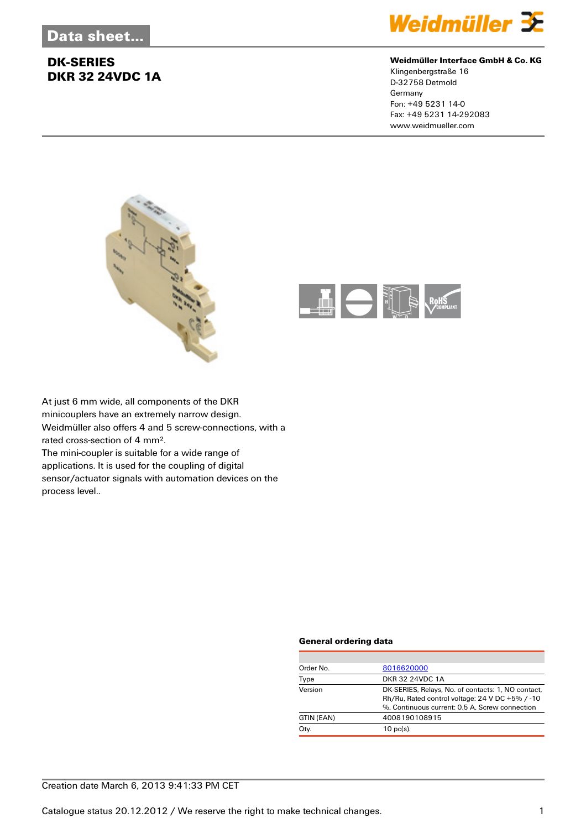

#### **Weidmüller Interface GmbH & Co. KG**

Klingenbergstraße 16 D-32758 Detmold Germany Fon: +49 5231 14-0 Fax: +49 5231 14-292083 www.weidmueller.com





At just 6 mm wide, all components of the DKR minicouplers have an extremely narrow design. Weidmüller also offers 4 and 5 screw-connections, with a rated cross-section of 4 mm². The mini-coupler is suitable for a wide range of

applications. It is used for the coupling of digital sensor/actuator signals with automation devices on the process level..

#### **General ordering data**

| Order No.  | 8016620000                                                                                                                                              |
|------------|---------------------------------------------------------------------------------------------------------------------------------------------------------|
| Type       | DKR 32 24VDC 1A                                                                                                                                         |
| Version    | DK-SERIES, Relays, No. of contacts: 1, NO contact,<br>Rh/Ru, Rated control voltage: 24 V DC +5% / -10<br>%, Continuous current: 0.5 A, Screw connection |
| GTIN (EAN) | 4008190108915                                                                                                                                           |
| Qty.       | $10$ pc(s).                                                                                                                                             |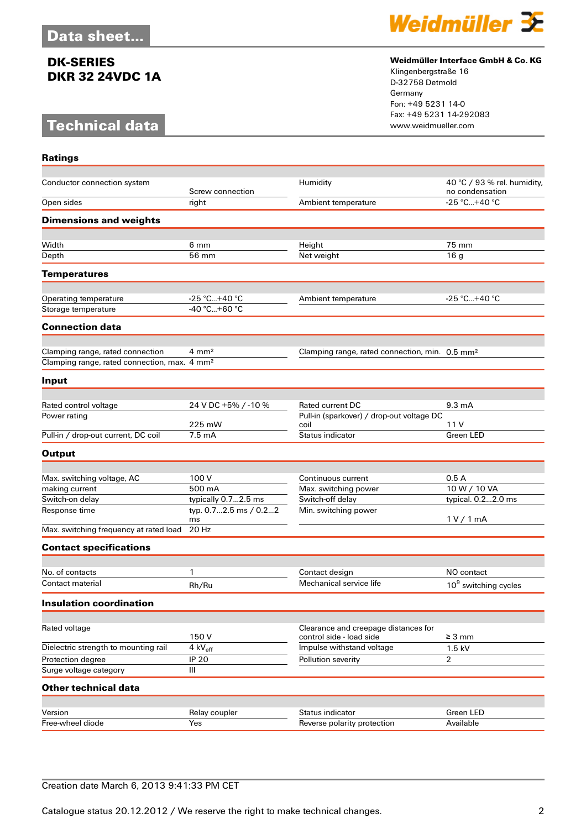# **Technical data**

**Ratings**



### **Weidmüller Interface GmbH & Co. KG**

Klingenbergstraße 16 D-32758 Detmold Germany Fon: +49 5231 14-0 Fax: +49 5231 14-292083

| Conductor connection system                              |                                              | Humidity                                                         | 40 °C / 93 % rel. humidity,      |
|----------------------------------------------------------|----------------------------------------------|------------------------------------------------------------------|----------------------------------|
|                                                          | Screw connection                             |                                                                  | no condensation                  |
| Open sides                                               | right                                        | Ambient temperature                                              | -25 °C+40 °C                     |
| <b>Dimensions and weights</b>                            |                                              |                                                                  |                                  |
|                                                          |                                              |                                                                  |                                  |
| Width                                                    | 6 mm                                         | Height                                                           | 75 mm                            |
| Depth                                                    | 56 mm                                        | Net weight                                                       | 16 <sub>q</sub>                  |
| <b>Temperatures</b>                                      |                                              |                                                                  |                                  |
| Operating temperature                                    | $-25 °C+40 °C$                               | Ambient temperature                                              | -25 °C+40 °C                     |
| Storage temperature                                      | $-40 °C + 60 °C$                             |                                                                  |                                  |
| <b>Connection data</b>                                   |                                              |                                                                  |                                  |
|                                                          |                                              |                                                                  |                                  |
| Clamping range, rated connection                         | $4 \, \text{mm}^2$                           | Clamping range, rated connection, min. 0.5 mm <sup>2</sup>       |                                  |
| Clamping range, rated connection, max. 4 mm <sup>2</sup> |                                              |                                                                  |                                  |
| Input                                                    |                                              |                                                                  |                                  |
|                                                          |                                              |                                                                  |                                  |
| Rated control voltage                                    | 24 V DC +5% / -10 %                          | <b>Rated current DC</b>                                          | $9.3 \text{ mA}$                 |
| Power rating                                             |                                              | Pull-in (sparkover) / drop-out voltage DC                        |                                  |
| Pull-in / drop-out current, DC coil                      | 225 mW<br>$7.5 \text{ mA}$                   | coil<br>Status indicator                                         | 11 V<br>Green LED                |
|                                                          |                                              |                                                                  |                                  |
| <b>Output</b>                                            |                                              |                                                                  |                                  |
|                                                          |                                              |                                                                  |                                  |
| Max. switching voltage, AC                               | 100 V                                        | Continuous current                                               | 0.5A                             |
| making current                                           | 500 mA                                       | Max. switching power                                             | 10 W / 10 VA                     |
| Switch-on delay                                          | typically 0.72.5 ms<br>typ. 0.72.5 ms / 0.22 | Switch-off delay                                                 | typical. 0.22.0 ms               |
| Response time                                            | ms                                           | Min. switching power                                             | 1 V / 1 mA                       |
| Max. switching frequency at rated load                   | 20 Hz                                        |                                                                  |                                  |
| <b>Contact specifications</b>                            |                                              |                                                                  |                                  |
|                                                          |                                              |                                                                  |                                  |
| No. of contacts                                          | 1                                            | Contact design                                                   | NO contact                       |
| Contact material                                         | Rh/Ru                                        | Mechanical service life                                          | 10 <sup>9</sup> switching cycles |
| Insulation coordination                                  |                                              |                                                                  |                                  |
|                                                          |                                              |                                                                  |                                  |
| Rated voltage                                            | 150V                                         | Clearance and creepage distances for<br>control side - load side | $\geq 3 \text{ mm}$              |
| Dielectric strength to mounting rail                     | 4 kV <sub>eff</sub>                          | Impulse withstand voltage                                        | 1.5 kV                           |
| Protection degree                                        | <b>IP 20</b>                                 | Pollution severity                                               | $\overline{2}$                   |
| Surge voltage category                                   | III                                          |                                                                  |                                  |
| <b>Other technical data</b>                              |                                              |                                                                  |                                  |
|                                                          |                                              |                                                                  |                                  |
| Version                                                  | Relay coupler                                | Status indicator                                                 | Green LED                        |
| Free-wheel diode                                         | Yes                                          | Reverse polarity protection                                      | Available                        |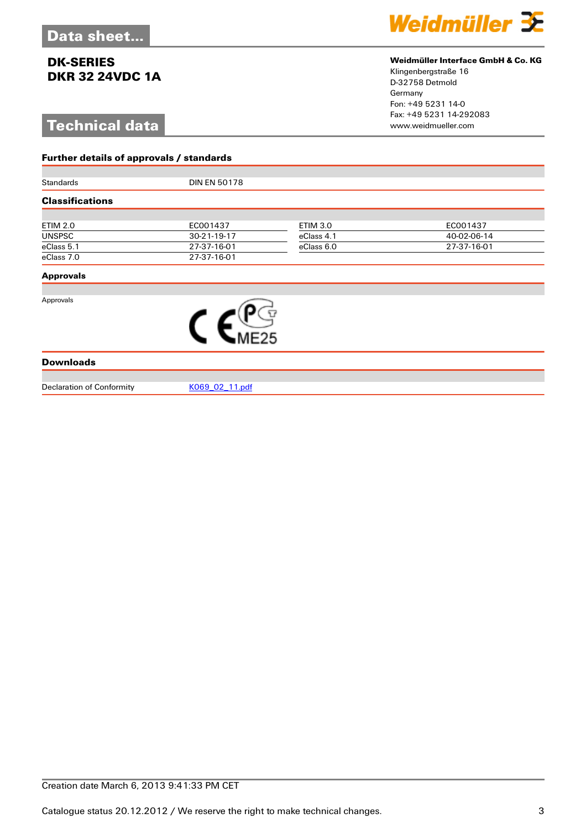# **Technical data**

**Further details of approvals / standards**



#### **Weidmüller Interface GmbH & Co. KG**

Klingenbergstraße 16 D-32758 Detmold Germany Fon: +49 5231 14-0 Fax: +49 5231 14-292083

| Standards              | <b>DIN EN 50178</b> |                 |             |  |  |
|------------------------|---------------------|-----------------|-------------|--|--|
| <b>Classifications</b> |                     |                 |             |  |  |
|                        |                     |                 |             |  |  |
| <b>ETIM 2.0</b>        | EC001437            | <b>ETIM 3.0</b> | EC001437    |  |  |
| <b>UNSPSC</b>          | 30-21-19-17         | eClass 4.1      | 40-02-06-14 |  |  |
| eClass 5.1             | 27-37-16-01         | eClass 6.0      | 27-37-16-01 |  |  |
| eClass 7.0             | 27-37-16-01         |                 |             |  |  |
| <b>Approvals</b>       |                     |                 |             |  |  |
| Approvals              |                     |                 |             |  |  |
|                        |                     |                 |             |  |  |
| <b>Downloads</b>       |                     |                 |             |  |  |

Declaration of Conformity [K069\\_02\\_11.pdf](http://catalog.weidmueller.com/assets/PDF/K069_02_11.pdf)